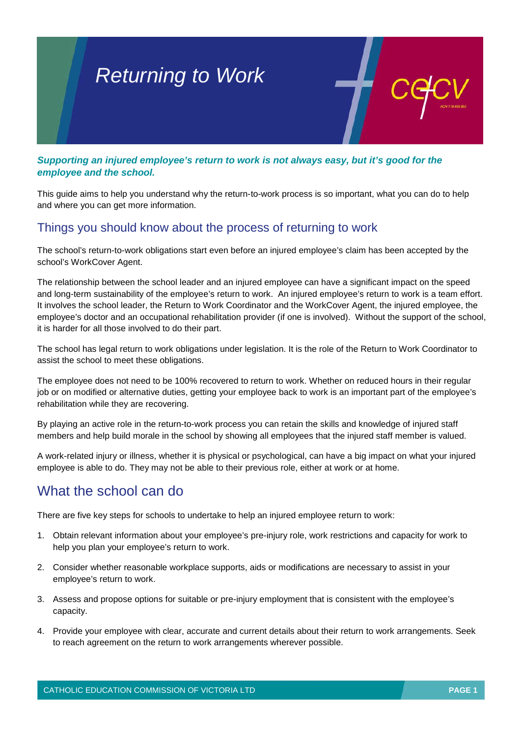

*Supporting an injured employee's return to work is not always easy, but it's good for the employee and the school.* 

This guide aims to help you understand why the return-to-work process is so important, what you can do to help and where you can get more information.

## Things you should know about the process of returning to work

The school's return-to-work obligations start even before an injured employee's claim has been accepted by the school's WorkCover Agent.

The relationship between the school leader and an injured employee can have a significant impact on the speed and long-term sustainability of the employee's return to work. An injured employee's return to work is a team effort. It involves the school leader, the Return to Work Coordinator and the WorkCover Agent, the injured employee, the employee's doctor and an occupational rehabilitation provider (if one is involved). Without the support of the school, it is harder for all those involved to do their part.

The school has legal return to work obligations under legislation. It is the role of the Return to Work Coordinator to assist the school to meet these obligations.

The employee does not need to be 100% recovered to return to work. Whether on reduced hours in their regular job or on modified or alternative duties, getting your employee back to work is an important part of the employee's rehabilitation while they are recovering.

By playing an active role in the return-to-work process you can retain the skills and knowledge of injured staff members and help build morale in the school by showing all employees that the injured staff member is valued.

A work-related injury or illness, whether it is physical or psychological, can have a big impact on what your injured employee is able to do. They may not be able to their previous role, either at work or at home.

## What the school can do

There are five key steps for schools to undertake to help an injured employee return to work:

- 1. Obtain relevant information about your employee's pre-injury role, work restrictions and capacity for work to help you plan your employee's return to work.
- 2. Consider whether reasonable workplace supports, aids or modifications are necessary to assist in your employee's return to work.
- 3. Assess and propose options for suitable or pre-injury employment that is consistent with the employee's capacity.
- 4. Provide your employee with clear, accurate and current details about their return to work arrangements. Seek to reach agreement on the return to work arrangements wherever possible.